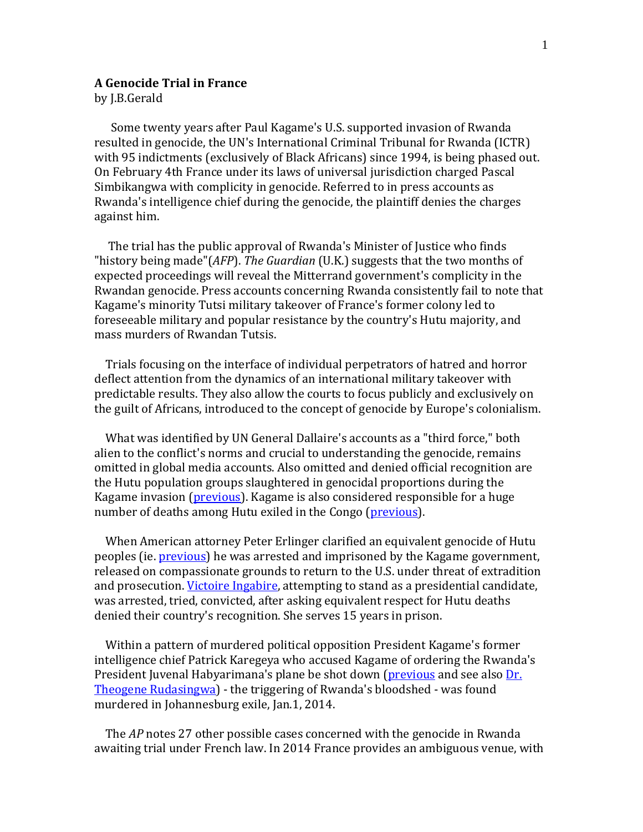## **A Genocide Trial in France**

by J.B.Gerald

Some twenty years after Paul Kagame's U.S. supported invasion of Rwanda resulted in genocide, the UN's International Criminal Tribunal for Rwanda (ICTR) with 95 indictments (exclusively of Black Africans) since 1994, is being phased out. On February 4th France under its laws of universal jurisdiction charged Pascal Simbikangwa with complicity in genocide. Referred to in press accounts as Rwanda's intelligence chief during the genocide, the plaintiff denies the charges against him.

The trial has the public approval of Rwanda's Minister of Justice who finds "history being made"(*AFP*). *The Guardian* (U.K.) suggests that the two months of expected proceedings will reveal the Mitterrand government's complicity in the Rwandan genocide. Press accounts concerning Rwanda consistently fail to note that Kagame's minority Tutsi military takeover of France's former colony led to foreseeable military and popular resistance by the country's Hutu majority, and mass murders of Rwandan Tutsis.

Trials focusing on the interface of individual perpetrators of hatred and horror deflect attention from the dynamics of an international military takeover with predictable results. They also allow the courts to focus publicly and exclusively on the guilt of Africans, introduced to the concept of genocide by Europe's colonialism.

What was identified by UN General Dallaire's accounts as a "third force," both alien to the conflict's norms and crucial to understanding the genocide, remains omitted in global media accounts. Also omitted and denied official recognition are the Hutu population groups slaughtered in genocidal proportions during the Kagame invasion (previous). Kagame is also considered responsible for a huge number of deaths among Hutu exiled in the Congo (previous).

When American attorney Peter Erlinger clarified an equivalent genocide of Hutu peoples (ie. previous) he was arrested and imprisoned by the Kagame government, released on compassionate grounds to return to the U.S. under threat of extradition and prosecution. Victoire Ingabire, attempting to stand as a presidential candidate, was arrested, tried, convicted, after asking equivalent respect for Hutu deaths denied their country's recognition. She serves 15 years in prison.

Within a pattern of murdered political opposition President Kagame's former intelligence chief Patrick Karegeya who accused Kagame of ordering the Rw[anda](http://nightslantern.ca/2011bulletin.htm#oct2)'s President Juvenal Habyarimana's plane be shot down (previous and see also Dr. Theogene Rudasingwa) - the triggering of Rwanda's bloodshed - was found murdered in Johannesburg exile, Jan.1, 2014.

The *AP* notes 27 other possible cases concerned with the genocide in Rwanda awaiting trial under French law. In 2014 France provides an ambiguous venue, with